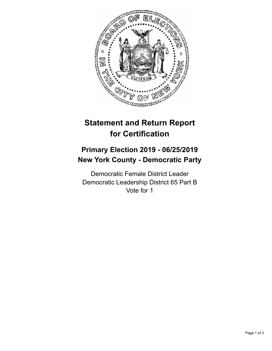

## **Statement and Return Report for Certification**

## **Primary Election 2019 - 06/25/2019 New York County - Democratic Party**

Democratic Female District Leader Democratic Leadership District 65 Part B Vote for 1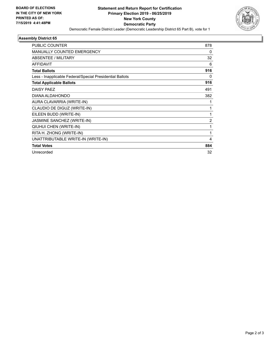

## **Assembly District 65**

| PUBLIC COUNTER                                           | 878            |
|----------------------------------------------------------|----------------|
| MANUALLY COUNTED EMERGENCY                               | 0              |
| ABSENTEE / MILITARY                                      | 32             |
| <b>AFFIDAVIT</b>                                         | 6              |
| <b>Total Ballots</b>                                     | 916            |
| Less - Inapplicable Federal/Special Presidential Ballots | 0              |
| <b>Total Applicable Ballots</b>                          | 916            |
| DAISY PAEZ                                               | 491            |
| DIANA ALDAHONDO                                          | 382            |
| AURA CLAVARRIA (WRITE-IN)                                | 1              |
| CLAUDIO DE DIGUZ (WRITE-IN)                              | 1              |
| EILEEN BUDD (WRITE-IN)                                   | 1              |
| JASMINE SANCHEZ (WRITE-IN)                               | $\overline{2}$ |
| QIUHUI CHEN (WRITE-IN)                                   | 1              |
| RITA H. ZHONG (WRITE-IN)                                 | 1              |
| UNATTRIBUTABLE WRITE-IN (WRITE-IN)                       | 4              |
| <b>Total Votes</b>                                       | 884            |
| Unrecorded                                               | 32             |